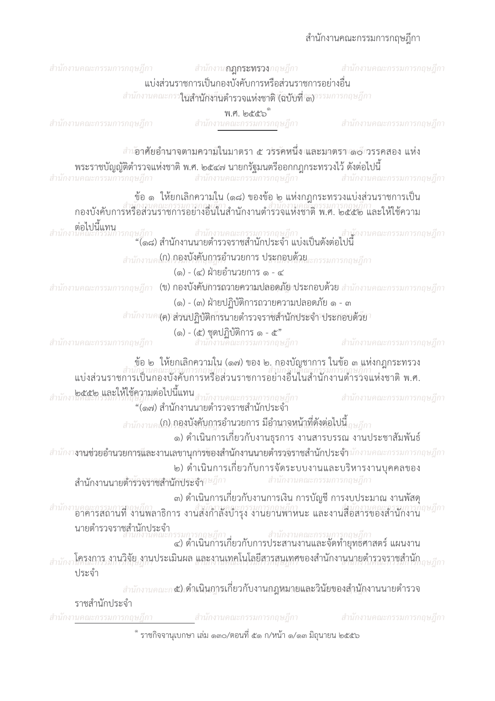## สำนักงานคณะกรรมการกฤษฎีกา

| สำนักงานคณะกรรมการกฤษฎีกา                   | สำนักงาน <b>กฎกระทรวง</b> กฤษฎีกา<br>แบ่งส่วนราชการเป็นกองบังคับการหรือส่วนราชการอย่างอื่น<br>สำนักงานคณะกรร <b>ในสำนักงาินตำรวจแห่งชาติ (ฉบับที่ เ</b> สงารรมการกฤษฎีกา                         | สำนักงานคณะกรรมการกฤษฎีกา                           |
|---------------------------------------------|--------------------------------------------------------------------------------------------------------------------------------------------------------------------------------------------------|-----------------------------------------------------|
| สำนักงานคณะกรรมการกฤษฎีกา                   | พ.ศ. ๒๕๕๖ํ<br>สำนักงานคณะกรรมการกฤษฎีกา                                                                                                                                                          | สำนักงานคณะกรรมการกฤษฎีกา                           |
| สำนักงานคณะกรรมการกฤษฎีกา                   | <i>สำเ</i> อาศัยอำนาจตามความในมาตรา ๕ วรรคหนึ่ง และมาตรา ๘๘ วรรคสอง แห่ง<br>พระราชบัญญัติตำรวจแห่งชาติ พ.ศ. ๒๕๔๗ นายกรัฐมนตรีออกกฎกระทรวงไว้ ดังต่อไปนี้                                         | สำนักงานคณะกรรมการกฤษฎีกา สำนักงานคณะกรรมการกฤษฎีกา |
|                                             | ข้อ ๑ ให้ยกเลิกความใน (๑๘) ของข้อ ๒ แห่งกฎกระทรวงแบ่งส่วนราชการเป็น<br>กองบังคับการหรือส่วนราชการกณะกี่ว่า<br>กองบังคับการหรือส่วนราชการอย่างอื่นในสำนักงานตำรวจแห่งชาติ พ.ศ. ๒๕๕๒ และให้ใช้ความ |                                                     |
| ต่อไปนี้แทน                                 | ษฎีกา สำนักงานคณะกรรมการกฤษฎีกา สำนักงานคณะกรรมการกฤษฎีกา<br>"(๑๘) สำนักงานนายตำรวจราชสำนักประจำ แบ่งเป็นดังต่อไปนี้                                                                             |                                                     |
|                                             | (๑) - (๔) ฝ่ายอำนวยการ ๑ - ๔                                                                                                                                                                     |                                                     |
|                                             | ี่สำนักงานคณะกรรมการกฤษฎีกา (ข) ก <b>องบังคับการถวายความปลอดุภัยกประกอบด้วย</b> สำนักงานคณะกรรมการกฤษฎีกา<br>(๑) - (๓) ฝ่ายปฏิบัติการถวายความปลอดภัย ๑ - ๓                                       |                                                     |
|                                             | สำนักงานค (ค) ส่วนปฏิบัติการนายตำรวจราชสำนักประจำ ประกอบด้วย                                                                                                                                     |                                                     |
| สำนักงานคณะกรรมการกฤษฎีกา                   | (๑) - (๕) ชุดปฏิบัติการ ๑ - ๕"<br>สำนักงานคณะกรรมการกฤษฎีกา                                                                                                                                      | สำนักงานคณะกรรมการกฤษฎีกา                           |
|                                             | ข้อ ๒ ให้ยกเลิกความใน (๑๗) ของ ๒. กองบัญชาการ ในข้อ ๓ แห่งกฎกระทรวง<br>แบ่งส่วนราชการเป็นกองบังคับการหรือส่วนราชการอย่างอื่นในสำนักงานตำรวจแห่งชาติ พ.ศ.                                         |                                                     |
|                                             | .๒๕๕๒ และให้ใช้ความต่อไปนี้แทน<br>นิทเนียกรวมการก็เษฎก<br>"(๑๗) สำนักงานนายตำรวจราชสำนักประจำ                                                                                                    | สำนักงานคณะกรรมการกฤษฎีกา                           |
|                                             | สำนักงานค <b>ไป) กองบังคับกฎรอำนวยการ มีอำนาจหน้าที่ดังต่อไปนี้ <sub>ถษฎีกา</sub></b><br>๑) ดำเนินการเกี่ยวกับงานธุรการ งานสารบรรณ งานประชาสัมพันธ์                                              |                                                     |
| สำนักงานนายตำรวจราชสำนักประจำก <i>ษฎีกา</i> | สำนักงา <b>งานช่วยอำนวยการและงานเลขานุการของสำนักงานนายตำรวจีราชสำนักประจำ</b> นักงานคณะกรรมการกฤษฎีกา<br>๒) ดำเนินการเกี่ยวกับการจัดระบบงานและบริหารงานบุคคลของ                                 | สำนักงานคณะกรรมการกฤษฎีกา                           |
|                                             | ๓) ดำเนินการเกี่ยวกับงานการเงิน การบัญชี การงบประมาณ งานพัสดุ<br>้สำนักงานคณะกรรมการกฤษฎีกา<br>อาคารสถานที่ งานพลาธิการ งานส่งกำลังบำรุง งานยานพาหนะ และงานสื่อสารของสำนักงาน                    |                                                     |
|                                             | นายตำรวจราชสำนักประจำ<br>สำนักงานคณะกรรมการกฤษฎีกา<br>(๑) ดำเนินการเกี่ยวกับการประสานงานและจัดทำยุทธศาสตร์ แผนงาน                                                                                |                                                     |
| ประจำ                                       | สำนักงาโครงการ งานวิจัย งานประเมินผล และงานเทคโนโลยีสารสนเทศของสำนักงานนายตำรวจราชสำนัก                                                                                                          |                                                     |
| ราชสำนักประจำ                               | <i>สำนักงานคณะก��</i> เด <i>ิ</i> กเนินการเกี่ยวกับงานถฎหมายและวินัยของสำนักงานนายตำรวจ                                                                                                          |                                                     |
| สำนักงานคณะกรรมการกฤษฎีกา                   | ี สำนักงานคณะกรรมการกฤษฎีกา                                                                                                                                                                      | สำนักงานคณะกรรมการกฤษฎีกา                           |

์ ราชกิจจานุเบกษา เล่ม ๑๓๐/ตอนที่ ๕๑ ก/หน้า ๑/๑๓ มิถุนายน ๒๕๕๖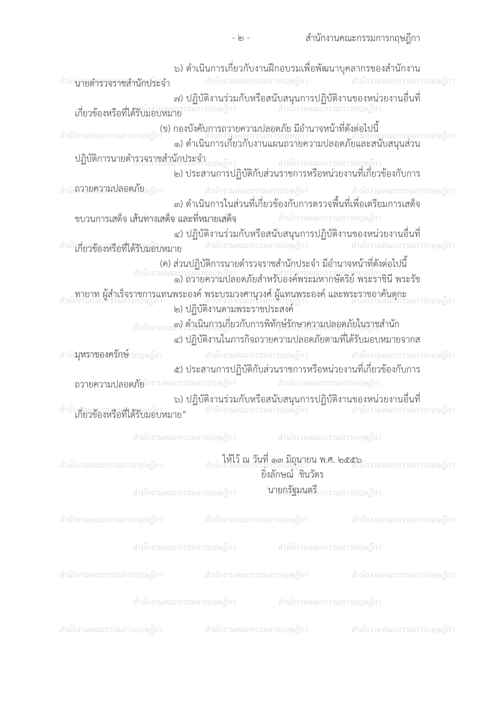| <sup>กนา</sup> นายตำรวจราชสำนักประจำ                                                               |                                                                                                    | สำนักงานคณะกรรมการกฤษฎีกา    | ๖) ดำเนินการเกี่ยวกับงานฝึกอบรมเพื่อพัฒนาบุคลากรของสำนักงาน<br>สำนักงานคณะกรรมการกฤษฎีกา                                                            |
|----------------------------------------------------------------------------------------------------|----------------------------------------------------------------------------------------------------|------------------------------|-----------------------------------------------------------------------------------------------------------------------------------------------------|
| ๗) ปฏิบัติงานร่วมกับหรือสนับสนุนการปฏิบัติงานของหน่วยงานอื่นที่<br>เกี่ยวข้องหรือที่ได้รับมอบหมาย  |                                                                                                    |                              |                                                                                                                                                     |
|                                                                                                    |                                                                                                    |                              | (ข) กองบังคับการถวายความปลอดภัย มีอำนาจหน้าที่ดังต่อไปนี้<br>สำนักงานคณะกรรมการกฤษฎีกา<br>๑) ดำเนินการเกี่ยวกับงานแผนถวายความปลอดภัยและสนับสนุนส่วน |
| ปฏิบัติการนายตำราจราชสำนักประจำ<br>๒) ประสานการปฏิบัติกับส่วนราชการหรือหน่วยงานที่เกี่ยวข้องกับการ |                                                                                                    |                              |                                                                                                                                                     |
| สำนัก <b>ถายความปลอดภัย</b> ษฎีกา                                                                  |                                                                                                    |                              | สำนักงานคณะกรรมการกฤษฎีกา สำนักงานคณะกรรมการกฤษฎีกา<br>๓) ดำเนินการในส่วนที่เกี่ยวข้องกับการตรวจพื้นที่เพื่อเตรียมการเสด็จ                          |
| ขบวนการเสด็จ เส้นทางเสด็จ และที่หมายเสด็จ สำนักงานคณะกรรมการกฤษฎีกา                                |                                                                                                    |                              |                                                                                                                                                     |
| สำนักสี่ยวข้องหรือที่ได้รับมอบหมาย                                                                 |                                                                                                    |                              | ๔) ปฏิบัติงานร่วมกับหรือสนับสนุนการปฏิบัติงานของหน่วยงานอื่นที่<br>สำนักงานคณะกรรมการกฤษฎีกา สำนักงานคณะกรรมการกฤษฎีกา                              |
| สำนักงานคะ<br>ทายาท ผู้สำเร็จราชการแทนพระองค์ พระบรมวงศานวงศ์ ผู้แทนพระองค์ และพระราชอาคันตกะ      | (ค) ส่วนปฏิบัติการนายตำรวจราชสำนักประจำ มีอำนาจหน้าที่ดังต่อไปนี้<br>๒) ปฏิบัติงานตามพระราชประสงค์ |                              | เะกรรมการกฤษฎีกา<br>๑) ถวายความปลอดภัยสำหรับองค์พระมหากษัตริย์ พระราชินี พระรัช                                                                     |
|                                                                                                    | .๓) ดำเนินการเกี่ยวกับการพิทักษ์รักษาความปลอดภัยในราชสำนัก                                         |                              | ๔) ปฏิบัติงานในภารกิจถวายความปลอดภัยตามที่ได้รับมอบหมายจากส                                                                                         |
| สำนั <b>ญหรอชองครักษ์</b> รออุษฎีอา                                                                |                                                                                                    |                              | สำนักงานคณะกรรมการกฤษฎีกา สำนักงานคณะกรรมการกฤษฎีกา                                                                                                 |
|                                                                                                    |                                                                                                    |                              | ๕) ประสานการปฏิบัติกับส่วนราชการหรือหน่วยงานที่เกี่ยวข้องกับการ                                                                                     |
| ถวายความปลอดภัยกหานคณะกรรมการกฤษฎีกา                                                               |                                                                                                    | สำนักงานคณะกรรมการกฤษฎีกา    |                                                                                                                                                     |
|                                                                                                    |                                                                                                    |                              | ๖) ปฏิบัติงานร่วมกับหรือสนับสนุนการปฏิบัติงานของหน่วยงานอื่นที่                                                                                     |
| ใกี่ยวข้องหรือที่ได้รับมอบหมาย"                                                                    | สำนักงานคณะกรรมการกฤษฎีกา                                                                          |                              | ี้ - สำนักงานคณะกรรมการกฤษฎีกา                                                                                                                      |
|                                                                                                    |                                                                                                    |                              |                                                                                                                                                     |
|                                                                                                    | สำนักงานคณะกรรมการกฤษฎีกา                                                                          | ี สำนักงานคณะกรรมการกฤษฎีกา  |                                                                                                                                                     |
| สำนักงานคณะกรรมการกฤษฎีกา                                                                          |                                                                                                    | ยิงลักษณ์ ชินวัตร            | . ให้ไว้ ณ วันที่ ๑๓ มิถุนายน พ.ศ. ๒๕๕๖<br>สำนักงานคณะกรรมการกฤษฎีก                                                                                 |
|                                                                                                    | สำนักงานคณะกรรมการกฤษฎีกา                                                                          | นายกรัฐมนตรีเะกรรมการกฤษฎีกา |                                                                                                                                                     |
| สำนักงานคณะกรรมการกฤษฎีกา                                                                          |                                                                                                    |                              | สำนักงานคณะกรรมการกฤษฎีกา สำนักงานคณะกรรมการกฤษฎีกา                                                                                                 |
|                                                                                                    | สำนักงานคณะกรรมการกฤษฎีกา สำนักงานคณะกรรมการกฤษฎีกา                                                |                              |                                                                                                                                                     |
|                                                                                                    |                                                                                                    |                              | สำนักงานคณะกรรมการกฤษฎีกา สำนักงานคณะกรรมการกฤษฎีกา สำนักงานคณะกรรมการกฤษฎีกา                                                                       |
|                                                                                                    | สำนักงานคณะกรรมการกฤษฎีกา สำนักงานคณะกรรมการกฤษฎีกา                                                |                              |                                                                                                                                                     |